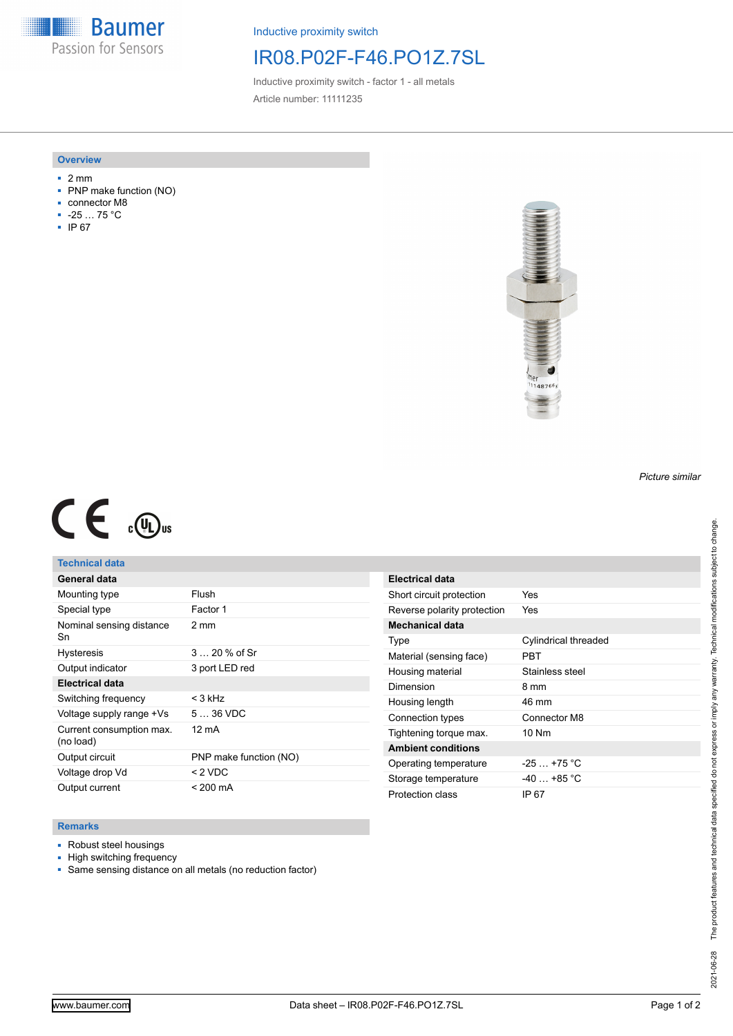**Baumer** Passion for Sensors

Inductive proximity switch

# IR08.P02F-F46.PO1Z.7SL

Inductive proximity switch - factor 1 - all metals Article number: 11111235

### **Overview**

- 2 mm
- PNP make function (NO)
- connector M8
- -25 … 75 °C
- IP 67



# $C \in \mathbb{C}$

### **Technical data**

| General data                          |                        |
|---------------------------------------|------------------------|
| Mounting type                         | Flush                  |
| Special type                          | Factor 1               |
| Nominal sensing distance<br>Sn        | 2 mm                   |
| <b>Hysteresis</b>                     | $320%$ of Sr           |
| Output indicator                      | 3 port LED red         |
| <b>Electrical data</b>                |                        |
| Switching frequency                   | $<$ 3 kHz              |
| Voltage supply range +Vs              | $536$ VDC              |
| Current consumption max.<br>(no load) | 12 mA                  |
| Output circuit                        | PNP make function (NO) |
| Voltage drop Vd                       | $< 2$ VDC              |
| Output current                        | $< 200 \text{ mA}$     |

| <b>Electrical data</b>      |                      |
|-----------------------------|----------------------|
| Short circuit protection    | Yes                  |
| Reverse polarity protection | Yes                  |
| Mechanical data             |                      |
| Type                        | Cylindrical threaded |
| Material (sensing face)     | PRT                  |
| Housing material            | Stainless steel      |
| Dimension                   | 8 mm                 |
| Housing length              | 46 mm                |
| Connection types            | Connector M8         |
| Tightening torque max.      | 10 Nm                |
| <b>Ambient conditions</b>   |                      |
| Operating temperature       | $-25$ $+75$ °C       |
| Storage temperature         | $-40 + 85$ °C        |
| Protection class            | IP 67                |

### **Remarks**

- Robust steel housings
- High switching frequency
- Same sensing distance on all metals (no reduction factor)

*Picture similar*